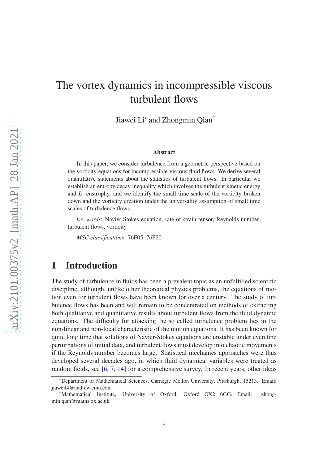# The vortex dynamics in incompressible viscous turbulent flows

Jiawei Li\* and Zhongmin Qian†

#### Abstract

In this paper, we consider turbulence from a geometric perspective based on the vorticity equations for incompressible viscous fluid flows. We derive several quantitative statements about the statistics of turbulent flows. In particular we establish an entropy decay inequality which involves the turbulent kinetic energy and  $L^1$ -enstrophy, and we identify the small time scale of the vorticity broken down and the vorticity creation under the universality assumption of small time scales of turbulence flows.

*key words*: Navier-Stokes equation, rate-of-strain tensor, Reynolds number, turbulent flows, vorticity

*MSC classifications*: 76F05, 76F20

### 1 Introduction

The study of turbulence in fluids has been a prevalent topic as an unfulfilled scientific discipline, although, unlike other theoretical physics problems, the equations of motion even for turbulent flows have been known for over a century. The study of turbulence flows has been and will remain to be concentrated on methods of extracting both qualitative and quantitative results about turbulent flows from the fluid dynamic equations. The difficulty for attacking the so called turbulence problem lies in the non-linear and non-local characteristic of the motion equations. It has been known for quite long time that solutions of Navier-Stokes equations are unstable under even tine perturbations of initial data, and turbulent flows must develop into chaotic movements if the Reynolds number becomes large. Statistical mechanics approaches were thus developed several decades ago, in which fluid dynamical variables were treated as random fields, see [6, 7, 14] for a comprehensive survey. In recent years, other ideas

<sup>\*</sup>Department of Mathematical Sciences, Carnegie Mellon University, Pittsburgh, 15213. Email: jiaweil4@andrew.cmu.edu

<sup>†</sup>Mathematical Institute, University of Oxford, Oxford OX2 6GG. Email: zhongmin.qian@maths.ox.ac.uk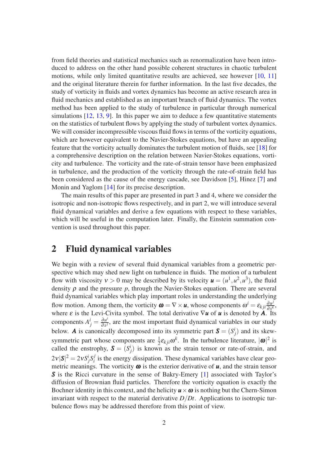from field theories and statistical mechanics such as renormalization have been introduced to address on the other hand possible coherent structures in chaotic turbulent motions, while only limited quantitative results are achieved, see however [10, 11] and the original literature therein for further information. In the last five decades, the study of vorticity in fluids and vortex dynamics has become an active research area in fluid mechanics and established as an important branch of fluid dynamics. The vortex method has been applied to the study of turbulence in particular through numerical simulations [12, 13, 9]. In this paper we aim to deduce a few quantitative statements on the statistics of turbulent flows by applying the study of turbulent vortex dynamics. We will consider incompressible viscous fluid flows in terms of the vorticity equations, which are however equivalent to the Navier-Stokes equations, but have an appealing feature that the vorticity actually dominates the turbulent motion of fluids, see [18] for a comprehensive description on the relation between Navier-Stokes equations, vorticity and turbulence. The vorticity and the rate-of-strain tensor have been emphasized in turbulence, and the production of the vorticity through the rate-of-strain field has been considered as the cause of the energy cascade, see Davidson [5], Hinez [7] and Monin and Yaglom [14] for its precise description.

The main results of this paper are presented in part 3 and 4, where we consider the isotropic and non-isotropic flows respectively, and in part 2, we will introduce several fluid dynamical variables and derive a few equations with respect to these variables, which will be useful in the computation later. Finally, the Einstein summation convention is used throughout this paper.

#### 2 Fluid dynamical variables

We begin with a review of several fluid dynamical variables from a geometric perspective which may shed new light on turbulence in fluids. The motion of a turbulent flow with viscosity  $v > 0$  may be described by its velocity  $u = (u^1, u^2, u^3)$ , the fluid density  $\rho$  and the pressure  $p$ , through the Navier-Stokes equation. There are several fluid dynamical variables which play important roles in understanding the underlying flow motion. Among them, the vorticity  $\boldsymbol{\omega} = \nabla \times \boldsymbol{u}$ , whose components  $\omega^i = \varepsilon_{kji} \frac{\partial u^j}{\partial x^k}$  $\frac{\partial u^j}{\partial x^k}$ , where <sup>ε</sup> is the Levi-Civita symbol. The total derivative ∇*u* of *u* is denoted by *A*. Its components  $A^i_j = \frac{\partial u^i}{\partial x^j}$  $\frac{\partial u}{\partial x^j}$ , are the most important fluid dynamical variables in our study below. *A* is canonically decomposed into its symmetric part  $S = (S_j^i)$  and its skewsymmetric part whose components are  $\frac{1}{2} \varepsilon_{kji} \omega^k$ . In the turbulence literature,  $|\omega|^2$  is called the enstrophy,  $S = (S_j^i)$  is known as the strain tensor or rate-of-strain, and  $2v|S|^2 = 2vS^i_jS^j_i$  $i<sub>i</sub>$  is the energy dissipation. These dynamical variables have clear geometric meanings. The vorticity  $\boldsymbol{\omega}$  is the exterior derivative of  $\boldsymbol{u}$ , and the strain tensor *S* is the Ricci curvature in the sense of Bakry-Emery [\[1](#page-8-0)] associated with Taylor's diffusion of Brownian fluid particles. Therefore the vorticity equation is exactly the Bochner identity in this context, and the helicity  $u \times \omega$  is nothing but the Chern-Simon invariant with respect to the material derivative *D*/*Dt*. Applications to isotropic turbulence flows may be addressed therefore from this point of view.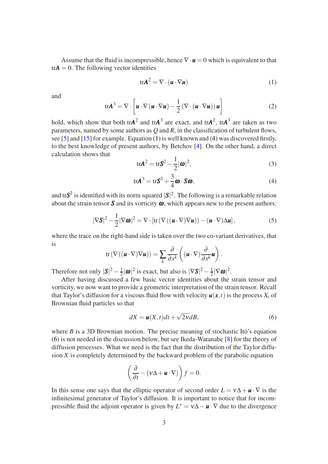Assume that the fluid is incompressible, hence  $\nabla \cdot \mathbf{u} = 0$  which is equivalent to that  $trA = 0$ . The following vector identities

<span id="page-2-0"></span>
$$
\text{tr}\mathbf{A}^2 = \nabla \cdot (\mathbf{u} \cdot \nabla \mathbf{u}) \tag{1}
$$

and

<span id="page-2-3"></span>
$$
\operatorname{tr} A^3 = \nabla \cdot \left[ \boldsymbol{u} \cdot \nabla (\boldsymbol{u} \cdot \nabla \boldsymbol{u}) - \frac{1}{2} (\nabla \cdot (\boldsymbol{u} \cdot \nabla \boldsymbol{u})) \boldsymbol{u} \right]
$$
 (2)

hold, which show that both tr $A^2$  and tr $A^3$  are exact, and tr $A^2$ , tr $A^3$  are taken as two parameters, named by some authors as *Q* and *R*, in the classification of turbulent flows, see [5] and [15] for example. Equation [\(1\)](#page-2-0) is well known and [\(4\)](#page-2-1) was discovered firstly, to the best knowledge of present authors, by Betchov [4]. On the other hand, a direct calculation shows that

<span id="page-2-5"></span>
$$
\text{tr}\mathbf{A}^2 = \text{tr}\mathbf{S}^2 - \frac{1}{2}|\boldsymbol{\omega}|^2,\tag{3}
$$

<span id="page-2-1"></span>
$$
tr\mathbf{A}^3 = tr\mathbf{S}^3 + \frac{3}{4}\boldsymbol{\omega} \cdot \mathbf{S}\boldsymbol{\omega},
$$
\n(4)

and tr $S^2$  is identified with its norm squared  $|S|^2$ . The following is a remarkable relation about the strain tensor  $S$  and its vorticity  $\omega$ , which appears new to the present authors:

<span id="page-2-4"></span>
$$
|\nabla \mathbf{S}|^2 - \frac{1}{2} |\nabla \boldsymbol{\omega}|^2 = \nabla \cdot \left[ \text{tr} \left( \nabla \left( (\boldsymbol{\mu} \cdot \nabla) \nabla \boldsymbol{\mu} \right) \right) - (\boldsymbol{\mu} \cdot \nabla) \Delta \boldsymbol{\mu} \right],\tag{5}
$$

where the trace on the right-hand side is taken over the two co-variant derivatives, that is

$$
\mathrm{tr}\left(\nabla\left((\boldsymbol{u}\cdot\nabla)\nabla\boldsymbol{u}\right)\right)=\sum_{k}\frac{\partial}{\partial x^{k}}\left((\boldsymbol{u}\cdot\nabla)\frac{\partial}{\partial x^{k}}\boldsymbol{u}\right).
$$

Therefore not only  $|S|^2 - \frac{1}{2}$  $\frac{1}{2}|\boldsymbol{\omega}|^2$  is exact, but also is  $|\nabla \mathbf{S}|^2 - \frac{1}{2}$  $\frac{1}{2}|\nabla \omega|^2$ .

After having discussed a few basic vector identities about the strain tensor and vorticity, we now want to provide a geometric interpretation of the strain tensor. Recall that Taylor's diffusion for a viscous fluid flow with velocity  $u(x, t)$  is the process  $X_t$  of Brownian fluid particles so that

<span id="page-2-2"></span>
$$
dX = \mathbf{u}(X, t)dt + \sqrt{2V}dB,
$$
\n(6)

where *B* is a 3D Brownian motion. The precise meaning of stochastic Itö's equation [\(6\)](#page-2-2) is not needed in the discussion below, but see Ikeda-Watanabe [8] for the theory of diffusion processes. What we need is the fact that the distribution of the Taylor diffusion *X* is completely determined by the backward problem of the parabolic equation

$$
\left(\frac{\partial}{\partial t} - (\mathbf{v}\Delta + \mathbf{u} \cdot \nabla)\right) f = 0.
$$

In this sense one says that the elliptic operator of second order  $L = v\Delta + \mathbf{u} \cdot \nabla$  is the infinitesimal generator of Taylor's diffusion. It is important to notice that for incompressible fluid the adjoint operator is given by  $L^* = v\Delta - \mathbf{u} \cdot \nabla$  due to the divergence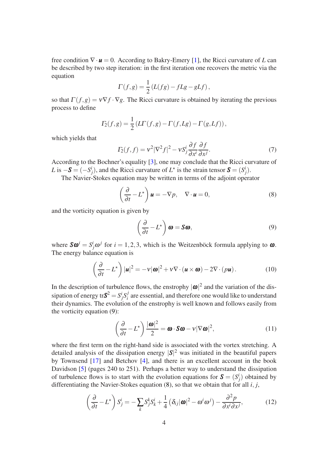free condition ∇· *u* = 0. According to Bakry-Emery [\[1\]](#page-8-0), the Ricci curvature of *L* can be described by two step iteration: in the first iteration one recovers the metric via the equation

$$
\Gamma(f,g) = \frac{1}{2} \left( L(fg) - fLg - gLf \right),\,
$$

so that  $\Gamma(f, g) = v \nabla f \cdot \nabla g$ . The Ricci curvature is obtained by iterating the previous process to define

$$
\Gamma_2(f,g) = \frac{1}{2} \left( L\Gamma(f,g) - \Gamma(f,Lg) - \Gamma(g,Lf) \right),
$$

which yields that

$$
\Gamma_2(f,f) = v^2 |\nabla^2 f|^2 - v S_j^i \frac{\partial f}{\partial x^i} \frac{\partial f}{\partial x^j}.
$$
\n(7)

According to the Bochner's equality [3], one may conclude that the Ricci curvature of *L* is  $-\mathbf{S} = (-S_j^i)$ , and the Ricci curvature of  $L^*$  is the strain tensor  $\mathbf{S} = (S_j^i)$ .

The Navier-Stokes equation may be written in terms of the adjoint operator

<span id="page-3-1"></span>
$$
\left(\frac{\partial}{\partial t} - L^{\star}\right)\mathbf{u} = -\nabla p, \quad \nabla \cdot \mathbf{u} = 0,
$$
\n(8)

and the vorticity equation is given by

<span id="page-3-0"></span>
$$
\left(\frac{\partial}{\partial t} - L^{\star}\right)\boldsymbol{\omega} = \mathbf{S}\boldsymbol{\omega},\tag{9}
$$

where  $S\omega^i = S^i_j \omega^j$  for  $i = 1, 2, 3$ , which is the Weitzenböck formula applying to  $\omega$ . The energy balance equation is

<span id="page-3-2"></span>
$$
\left(\frac{\partial}{\partial t} - L^{\star}\right)|\mathbf{u}|^{2} = -v|\mathbf{\omega}|^{2} + v\nabla \cdot (\mathbf{u} \times \mathbf{\omega}) - 2\nabla \cdot (p\mathbf{u}).
$$
\n(10)

In the description of turbulence flows, the enstrophy  $|\boldsymbol{\omega}|^2$  and the variation of the dissipation of energy tr $S^2 = S^i_j S^j_i$  $i_i$  are essential, and therefore one would like to understand their dynamics. The evolution of the enstrophy is well known and follows easily from the vorticity equation [\(9\)](#page-3-0):

$$
\left(\frac{\partial}{\partial t} - L^{\star}\right) \frac{|\boldsymbol{\omega}|^2}{2} = \boldsymbol{\omega} \cdot \mathbf{S} \boldsymbol{\omega} - \nu |\nabla \boldsymbol{\omega}|^2, \tag{11}
$$

where the first term on the right-hand side is associated with the vortex stretching. A detailed analysis of the dissipation energy  $|\mathbf{S}|^2$  was initiated in the beautiful papers by Townsend [17] and Betchov [4], and there is an excellent account in the book Davidson [5] (pages 240 to 251). Perhaps a better way to understand the dissipation of turbulence flows is to start with the evolution equations for  $S = (S_j^i)$  obtained by differentiating the Navier-Stokes equation [\(8\)](#page-3-1), so that we obtain that for all *i*, *j*,

$$
\left(\frac{\partial}{\partial t} - L^{\star}\right) S_j^i = -\sum_k S_j^k S_k^i + \frac{1}{4} \left(\delta_{ij} |\boldsymbol{\omega}|^2 - \omega^i \omega^j\right) - \frac{\partial^2 p}{\partial x^i \partial x^j},\tag{12}
$$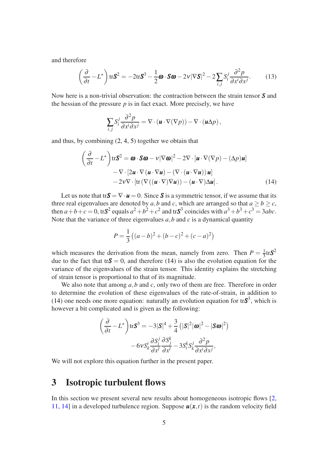and therefore

<span id="page-4-1"></span>
$$
\left(\frac{\partial}{\partial t} - L^{\star}\right) \text{tr}\mathbf{S}^{2} = -2 \text{tr}\mathbf{S}^{3} - \frac{1}{2}\boldsymbol{\omega} \cdot \mathbf{S}\boldsymbol{\omega} - 2v|\nabla \mathbf{S}|^{2} - 2\sum_{i,j} S_{i}^{j} \frac{\partial^{2} p}{\partial x^{i} \partial x^{j}}.
$$
 (13)

Now here is a non-trivial observation: the contraction between the strain tensor *S* and the hessian of the pressure  $p$  is in fact exact. More precisely, we have

$$
\sum_{i,j} S_i^j \frac{\partial^2 p}{\partial x^i \partial x^j} = \nabla \cdot (\boldsymbol{u} \cdot \nabla (\nabla p)) - \nabla \cdot (\boldsymbol{u} \Delta p),
$$

and thus, by combining [\(2,](#page-2-3) [4,](#page-2-1) [5\)](#page-2-4) together we obtain that

$$
\left(\frac{\partial}{\partial t} - L^{\star}\right) \text{tr} \mathbf{S}^{2} = \boldsymbol{\omega} \cdot \mathbf{S} \boldsymbol{\omega} - \nu |\nabla \boldsymbol{\omega}|^{2} - 2 \nabla \cdot [\boldsymbol{u} \cdot \nabla(\nabla p) - (\Delta p) \boldsymbol{u}] \n- \nabla \cdot [2 \boldsymbol{u} \cdot \nabla (\boldsymbol{u} \cdot \nabla \boldsymbol{u}) - (\nabla \cdot (\boldsymbol{u} \cdot \nabla \boldsymbol{u})) \boldsymbol{u}] \n- 2 \nu \nabla \cdot [\text{tr} (\nabla ((\boldsymbol{u} \cdot \nabla) \nabla \boldsymbol{u})) - (\boldsymbol{u} \cdot \nabla) \Delta \boldsymbol{u}].
$$
\n(14)

Let us note that tr $S = \nabla \cdot \mathbf{u} = 0$ . Since S is a symmetric tensor, if we assume that its three real eigenvalues are denoted by *a*,*b* and *c*, which are arranged so that  $a \ge b \ge c$ , then  $a+b+c=0$ , tr $S^2$  equals  $a^2+b^2+c^2$  and tr $S^3$  coincides with  $a^3+b^3+c^3=3abc$ . Note that the variance of three eigenvalues *a*,*b* and *c* is a dynamical quantity

<span id="page-4-0"></span>
$$
P = \frac{1}{3} ((a - b)^2 + (b - c)^2 + (c - a)^2)
$$

which measures the derivation from the mean, namely from zero. Then  $P = \frac{1}{3}$  $\frac{1}{3}$ tr $S^2$ due to the fact that tr $S = 0$ , and therefore [\(14\)](#page-4-0) is also the evolution equation for the variance of the eigenvalues of the strain tensor. This identity explains the stretching of strain tensor is proportional to that of its magnitude.

We also note that among *a*,*b* and *c*, only two of them are free. Therefore in order to determine the evolution of these eigenvalues of the rate-of-strain, in addition to [\(14\)](#page-4-0) one needs one more equation: naturally an evolution equation for  $trS<sup>3</sup>$ , which is however a bit complicated and is given as the following:

$$
\left(\frac{\partial}{\partial t} - L^{\star}\right) \text{tr}\mathbf{S}^{3} = -3|\mathbf{S}|^{4} + \frac{3}{4} \left(|\mathbf{S}|^{2}|\boldsymbol{\omega}|^{2} - |\mathbf{S}\boldsymbol{\omega}|^{2}\right) - 6\mathcal{V}S_{k}^{i} \frac{\partial S_{i}^{j}}{\partial x^{l}} \frac{\partial S_{j}^{k}}{\partial x^{l}} - 3S_{i}^{k}S_{k}^{j} \frac{\partial^{2} p}{\partial x^{i} \partial x^{j}},
$$

We will not explore this equation further in the present paper.

#### 3 Isotropic turbulent flows

In this section we present several new results about homogeneous isotropic flows [2, 11, 14] in a developed turbulence region. Suppose  $u(x,t)$  is the random velocity field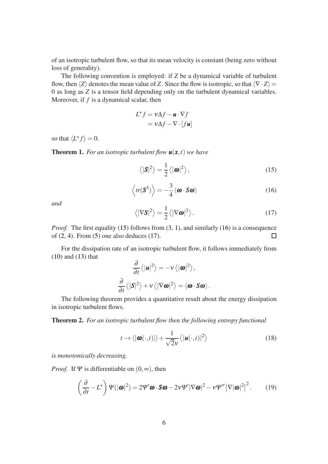of an isotropic turbulent flow, so that its mean velocity is constant (being zero without loss of generality).

The following convention is employed: if *Z* be a dynamical variable of turbulent flow, then  $\langle Z \rangle$  denotes the mean value of *Z*. Since the flow is isotropic, so that  $\langle \nabla \cdot Z \rangle =$ 0 as long as *Z* is a tensor field depending only on the turbulent dynamical variables. Moreover, if *f* is a dynamical scalar, then

$$
L^{\star} f = v \Delta f - \mathbf{u} \cdot \nabla f
$$

$$
= v \Delta f - \nabla \cdot [f \mathbf{u}]
$$

so that  $\langle L^* f \rangle = 0$ .

**Theorem 1.** For an isotropic turbulent flow  $u(x,t)$  we have

<span id="page-5-0"></span>
$$
\langle |\mathbf{S}|^2 \rangle = \frac{1}{2} \langle |\mathbf{\omega}|^2 \rangle, \tag{15}
$$

<span id="page-5-1"></span>
$$
\langle tr(\mathbf{S}^3) \rangle = -\frac{3}{4} \langle \boldsymbol{\omega} \cdot \mathbf{S} \boldsymbol{\omega} \rangle \tag{16}
$$

*and*

<span id="page-5-2"></span>
$$
\langle |\nabla \mathbf{S}|^2 \rangle = \frac{1}{2} \langle |\nabla \mathbf{\omega}|^2 \rangle. \tag{17}
$$

*Proof.* The first equality [\(15\)](#page-5-0) follows from  $(3, 1)$  $(3, 1)$ , and similarly [\(16\)](#page-5-1) is a consequence of  $(2, 4)$  $(2, 4)$  $(2, 4)$ . From  $(5)$  one also deduces  $(17)$ .  $\Box$ 

For the dissipation rate of an isotropic turbulent flow, it follows immediately from [\(10\)](#page-3-2) and [\(13\)](#page-4-1) that

$$
\frac{\partial}{\partial t} \langle |\mathbf{u}|^2 \rangle = -v \langle |\mathbf{\omega}|^2 \rangle,
$$
  

$$
\frac{\partial}{\partial t} \langle |\mathbf{S}|^2 \rangle + v \langle |\nabla \mathbf{\omega}|^2 \rangle = \langle \mathbf{\omega} \cdot \mathbf{S} \mathbf{\omega} \rangle.
$$

The following theorem provides a quantitative result about the energy dissipation in isotropic turbulent flows.

Theorem 2. *For an isotropic turbulent flow then the following entropy functional*

$$
t \to \langle |\boldsymbol{\omega}(\cdot, t)| \rangle + \frac{1}{\sqrt{2}v} \langle |\boldsymbol{u}(\cdot, t)|^2 \rangle \tag{18}
$$

*is monotonically decreasing.*

*Proof.* If  $\Psi$  is differentiable on  $(0, \infty)$ , then

<span id="page-5-3"></span>
$$
\left(\frac{\partial}{\partial t} - L^{\star}\right) \Psi(|\boldsymbol{\omega}|^2) = 2\Psi'\boldsymbol{\omega} \cdot \mathbf{S}\boldsymbol{\omega} - 2\nu\Psi'|\nabla\boldsymbol{\omega}|^2 - \nu\Psi''|\nabla|\boldsymbol{\omega}|^2\Big|^2. \tag{19}
$$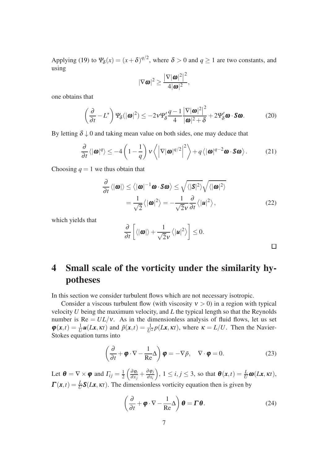Applying [\(19\)](#page-5-3) to  $\Psi_{\delta}(x) = (x + \delta)^{q/2}$ , where  $\delta > 0$  and  $q \ge 1$  are two constants, and using

$$
|\nabla \boldsymbol{\omega}|^2 \geq \frac{|\nabla |\boldsymbol{\omega}|^2|^2}{4|\boldsymbol{\omega}|^2},
$$

one obtains that

$$
\left(\frac{\partial}{\partial t} - L^{\star}\right) \Psi_{\delta}(|\boldsymbol{\omega}|^{2}) \leq -2\nu \Psi_{\delta}' \frac{q-1}{4} \frac{|\nabla |\boldsymbol{\omega}|^{2}|^{2}}{|\boldsymbol{\omega}|^{2} + \delta} + 2\Psi_{\delta}' \boldsymbol{\omega} \cdot \mathbf{S} \boldsymbol{\omega}.
$$
 (20)

By letting  $\delta \downarrow 0$  and taking mean value on both sides, one may deduce that

$$
\frac{\partial}{\partial t} \langle |\boldsymbol{\omega}|^{q} \rangle \leq -4 \left( 1 - \frac{1}{q} \right) v \left\langle \left| \nabla |\boldsymbol{\omega}|^{q/2} \right|^{2} \right\rangle + q \left\langle |\boldsymbol{\omega}|^{q-2} \boldsymbol{\omega} \cdot \mathbf{S} \boldsymbol{\omega} \right\rangle. \tag{21}
$$

Choosing  $q = 1$  we thus obtain that

$$
\frac{\partial}{\partial t} \langle |\boldsymbol{\omega}| \rangle \le \langle |\boldsymbol{\omega}|^{-1} \boldsymbol{\omega} \cdot \mathbf{S} \boldsymbol{\omega} \rangle \le \sqrt{\langle |\mathbf{S}|^{2} \rangle} \sqrt{\langle |\boldsymbol{\omega}|^{2} \rangle}
$$

$$
= \frac{1}{\sqrt{2}} \langle |\boldsymbol{\omega}|^{2} \rangle = -\frac{1}{\sqrt{2}v} \frac{\partial}{\partial t} \langle |\boldsymbol{\mu}|^{2} \rangle, \tag{22}
$$

which yields that

$$
\frac{\partial}{\partial t}\left[\langle |\boldsymbol{\omega}| \rangle + \frac{1}{\sqrt{2}v} \langle |\boldsymbol{u}|^2 \rangle \right] \leq 0.
$$

## 4 Small scale of the vorticity under the similarity hypotheses

In this section we consider turbulent flows which are not necessary isotropic.

Consider a viscous turbulent flow (with viscosity  $v > 0$ ) in a region with typical velocity *U* being the maximum velocity, and *L* the typical length so that the Reynolds number is  $Re = UL/v$ . As in the dimensionless analysis of fluid flows, let us set  $\varphi(x,t) = \frac{1}{U}u(Lx,kt)$  and  $\tilde{p}(x,t) = \frac{1}{U^2}p(Lx,kt)$ , where  $\kappa = L/U$ . Then the Navier-Stokes equation turns into

<span id="page-6-0"></span>
$$
\left(\frac{\partial}{\partial t} + \boldsymbol{\varphi} \cdot \nabla - \frac{1}{\text{Re}} \Delta\right) \boldsymbol{\varphi} = -\nabla \tilde{p}, \quad \nabla \cdot \boldsymbol{\varphi} = 0.
$$
 (23)

Let  $\boldsymbol{\theta} = \nabla \times \boldsymbol{\varphi}$  and  $\Gamma_{ij} = \frac{1}{2}$  $rac{1}{2}$  $\left(\frac{\partial \varphi_i}{\partial x_j}\right)$  $\frac{\partial \varphi_i}{\partial x_j} + \frac{\partial \varphi_j}{\partial x_i}$ <sup>∂</sup>*xi*  $\int$ ,  $1 \le i, j \le 3$ , so that  $\boldsymbol{\theta}(\boldsymbol{x}, t) = \frac{L}{U} \boldsymbol{\omega}(L\boldsymbol{x}, \kappa t)$ ,  $\Gamma(x,t) = \frac{L}{U} S(Lx, \kappa t)$ . The dimensionless vorticity equation then is given by

<span id="page-6-1"></span>
$$
\left(\frac{\partial}{\partial t} + \boldsymbol{\varphi} \cdot \nabla - \frac{1}{\text{Re}} \Delta\right) \boldsymbol{\theta} = \boldsymbol{\Gamma} \boldsymbol{\theta}.
$$
 (24)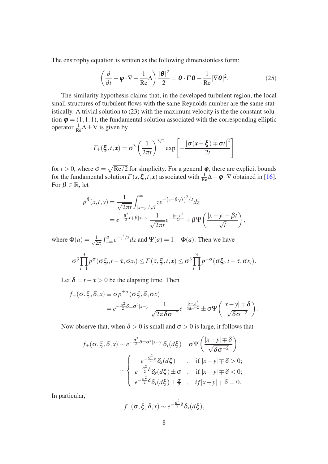The enstrophy equation is written as the following dimensionless form:

$$
\left(\frac{\partial}{\partial t} + \boldsymbol{\varphi} \cdot \nabla - \frac{1}{\text{Re}} \Delta\right) \frac{|\boldsymbol{\theta}|^2}{2} = \boldsymbol{\theta} \cdot \boldsymbol{\Gamma} \boldsymbol{\theta} - \frac{1}{\text{Re}} |\nabla \boldsymbol{\theta}|^2.
$$
 (25)

The similarity hypothesis claims that, in the developed turbulent region, the local small structures of turbulent flows with the same Reynolds number are the same statistically. A trivial solution to [\(23\)](#page-6-0) with the maximum velocity is the the constant solution  $\boldsymbol{\varphi} = (1,1,1)$ , the fundamental solution associated with the corresponding elliptic operator  $\frac{1}{Re}\Delta \pm \nabla$  is given by

$$
\Gamma_{\pm}(\boldsymbol{\xi},t,\mathbf{x}) = \sigma^3 \left(\frac{1}{2\pi t}\right)^{3/2} \exp \left[-\frac{|\sigma(\mathbf{x}-\boldsymbol{\xi})\mp\sigma t|^2}{2t}\right]
$$

for  $t > 0$ , where  $\sigma = \sqrt{\text{Re}/2}$  for simplicity. For a general  $\varphi$ , there are explicit bounds for the fundamental solution  $\Gamma(s, \xi, t, x)$  associated with  $\frac{1}{Re}\Delta - \phi \cdot \nabla$  obtained in [16]. For  $\beta \in \mathbb{R}$ , let

$$
p^{\beta}(x,t,y) = \frac{1}{\sqrt{2\pi t}} \int_{|x-y|/\sqrt{t}}^{\infty} ze^{-(z-\beta\sqrt{t})^2/2} dz
$$
  
=  $e^{-\frac{\beta^2}{2}t+\beta|x-y|} \frac{1}{\sqrt{2\pi t}} e^{-\frac{|x-y|^2}{2t}} + \beta \Psi\left(\frac{|x-y|-\beta t}{\sqrt{t}}\right),$ 

where  $\Phi(a) = \frac{1}{\sqrt{2}}$  $\frac{1}{2\pi} \int_{-\infty}^{a} e^{-z^2/2} dz$  and  $\Psi(a) = 1 - \Phi(a)$ . Then we have

$$
\sigma^3 \prod_{i=1}^3 p^{\sigma}(\sigma \xi_i, t - \tau, \sigma x_i) \leq \Gamma(\tau, \xi, t, x) \leq \sigma^3 \prod_{i=1}^3 p^{-\sigma}(\sigma \xi_i, t - \tau, \sigma x_i).
$$

Let  $\delta = t - \tau > 0$  be the elapsing time. Then

$$
f_{\pm}(\sigma, \xi, \delta, x) \equiv \sigma p^{\pm \sigma}(\sigma \xi, \delta, \sigma x)
$$
  
=  $e^{-\frac{\sigma^2}{2} \delta \pm \sigma^2 |x-y|} \frac{1}{\sqrt{2\pi \delta \sigma^{-2}}} e^{-\frac{|x-y|^2}{2\delta \sigma^{-2}}} \pm \sigma \Psi\left(\frac{|x-y| \mp \delta}{\sqrt{\delta \sigma^{-2}}}\right).$ 

Now observe that, when  $\delta > 0$  is small and  $\sigma > 0$  is large, it follows that

$$
f_{\pm}(\sigma, \xi, \delta, x) \sim e^{-\frac{\sigma^2}{2}\delta \pm \sigma^2 |x-y|} \delta_x(d\xi) \pm \sigma \Psi\left(\frac{|x-y| \mp \delta}{\sqrt{\delta \sigma^{-2}}}\right)
$$

$$
\sim \begin{cases} e^{-\frac{\sigma^2}{2}\delta} \delta_x(d\xi) & , \text{ if } |x-y| \mp \delta > 0; \\ e^{-\frac{\sigma^2}{2}\delta} \delta_x(d\xi) \pm \sigma & , \text{ if } |x-y| \mp \delta < 0; \\ e^{-\frac{\sigma^2}{2}\delta} \delta_x(d\xi) \pm \frac{\sigma}{2} & , \text{ if } |x-y| \mp \delta = 0. \end{cases}
$$

In particular,

$$
f_{-}(\sigma, \xi, \delta, x) \sim e^{-\frac{\sigma^2}{2}\delta} \delta_x(d\xi),
$$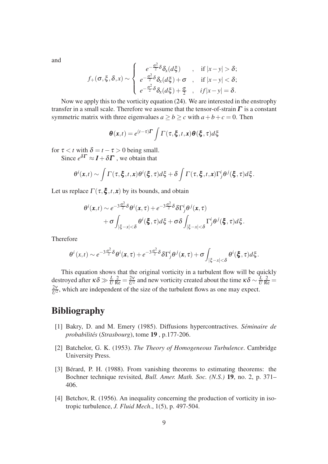and

$$
f_{+}(\sigma,\xi,\delta,x) \sim \begin{cases} e^{-\frac{\sigma^2}{2}\delta} \delta_x(d\xi) & , \text{ if } |x-y| > \delta; \\ e^{-\frac{\sigma^2}{2}\delta} \delta_x(d\xi) + \sigma & , \text{ if } |x-y| < \delta; \\ e^{-\frac{\sigma^2}{2}\delta} \delta_x(d\xi) + \frac{\sigma}{2} & , \text{ if } |x-y| = \delta. \end{cases}
$$

Now we apply this to the vorticity equation [\(24\)](#page-6-1). We are interested in the enstrophy transfer in a small scale. Therefore we assume that the tensor-of-strain  $\Gamma$  is a constant symmetric matrix with three eigenvalues  $a \ge b \ge c$  with  $a + b + c = 0$ . Then

$$
\boldsymbol{\theta}(x,t) = e^{(t-\tau)\boldsymbol{\Gamma}} \int \Gamma(\tau,\boldsymbol{\xi},t,x) \boldsymbol{\theta}(\boldsymbol{\xi},\tau) d\boldsymbol{\xi}
$$

for  $\tau < t$  with  $\delta = t - \tau > 0$  being small.

Since  $e^{\delta \mathbf{\Gamma}} \approx \mathbf{I} + \delta \mathbf{\Gamma}$  , we obtain that

$$
\theta^i(\mathbf{x},t) \sim \int \Gamma(\tau,\boldsymbol{\xi},t,\mathbf{x}) \theta^i(\boldsymbol{\xi},\tau) d\boldsymbol{\xi} + \delta \int \Gamma(\tau,\boldsymbol{\xi},t,\mathbf{x}) \Gamma_j^i \theta^j(\boldsymbol{\xi},\tau) d\boldsymbol{\xi}.
$$

Let us replace  $\Gamma(\tau, \xi, t, x)$  by its bounds, and obtain

$$
\theta^{i}(\mathbf{x},t) \sim e^{-3\frac{\sigma^{2}}{2}\delta} \theta^{i}(\mathbf{x},\tau) + e^{-3\frac{\sigma^{2}}{2}\delta} \delta \Gamma^{i}_{j} \theta^{j}(\mathbf{x},\tau) \n+ \sigma \int_{|\xi-x|<\delta} \theta^{i}(\boldsymbol{\xi},\tau) d\xi + \sigma \delta \int_{|\xi-x|<\delta} \Gamma^{i}_{j} \theta^{j}(\boldsymbol{\xi},\tau) d\xi.
$$

Therefore

$$
\theta^i(x,t)\sim e^{-3\frac{\sigma^2}{2}\delta}\theta^i(x,\tau)+e^{-3\frac{\sigma^2}{2}\delta}\delta\Gamma^i_j\theta^j(x,\tau)+\sigma\int_{|\xi-x|<\delta}\theta^i(\boldsymbol{\xi},\tau)d\zeta.
$$

This equation shows that the original vorticity in a turbulent flow will be quickly destroyed after  $\kappa \delta \gg \frac{L}{U}$  $\frac{2}{\text{Re}} = \frac{2v}{U^2}$  and new vorticity created about the time  $\kappa \delta \sim \frac{L}{U}$ *U*  $\frac{2}{Re}$  =  $2<sub>V</sub>$  $\frac{2V}{U^2}$ , which are independent of the size of the turbulent flows as one may expect.

### Bibliography

- <span id="page-8-0"></span>[1] Bakry, D. and M. Emery (1985). Diffusions hypercontractives. *Seminaire de* ´ *probabilites*´ (*Strasbourg*), tome 19 , p.177-206.
- [2] Batchelor, G. K. (1953). *The Theory of Homogeneous Turbulence*. Cambridge University Press.
- [3] Bérard, P. H. (1988). From vanishing theorems to estimating theorems: the Bochner technique revisited, *Bull. Amer. Math. Soc. (N.S.)* 19, no. 2, p. 371– 406.
- [4] Betchov, R. (1956). An inequality concerning the production of vorticity in isotropic turbulence, *J. Fluid Mech*., 1(5), p. 497-504.